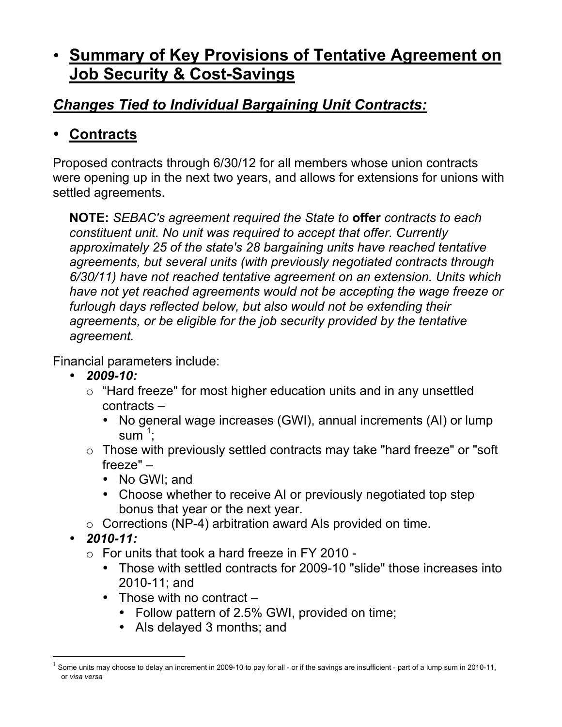# • **Summary of Key Provisions of Tentative Agreement on Job Security & Cost-Savings**

### *Changes Tied to Individual Bargaining Unit Contracts:*

### • **Contracts**

Proposed contracts through 6/30/12 for all members whose union contracts were opening up in the next two years, and allows for extensions for unions with settled agreements.

**NOTE:** *SEBAC's agreement required the State to* **offer** *contracts to each constituent unit. No unit was required to accept that offer. Currently approximately 25 of the state's 28 bargaining units have reached tentative agreements, but several units (with previously negotiated contracts through 6/30/11) have not reached tentative agreement on an extension. Units which have not yet reached agreements would not be accepting the wage freeze or furlough days reflected below, but also would not be extending their agreements, or be eligible for the job security provided by the tentative agreement.*

Financial parameters include:

- *2009-10:*
	- o "Hard freeze" for most higher education units and in any unsettled contracts –
		- No general wage increases (GWI), annual increments (AI) or lump  $sum^1$ ;
	- o Those with previously settled contracts may take "hard freeze" or "soft freeze" –
		- No GWI; and
		- Choose whether to receive AI or previously negotiated top step bonus that year or the next year.
	- o Corrections (NP-4) arbitration award AIs provided on time.
- *2010-11:*
	- $\circ$  For units that took a hard freeze in FY 2010 -
		- Those with settled contracts for 2009-10 "slide" those increases into 2010-11; and
		- Those with no contract
			- Follow pattern of 2.5% GWI, provided on time;
			- AIs delayed 3 months; and

Some units may choose to delay an increment in 2009-10 to pay for all - or if the savings are insufficient - part of a lump sum in 2010-11, or *visa versa*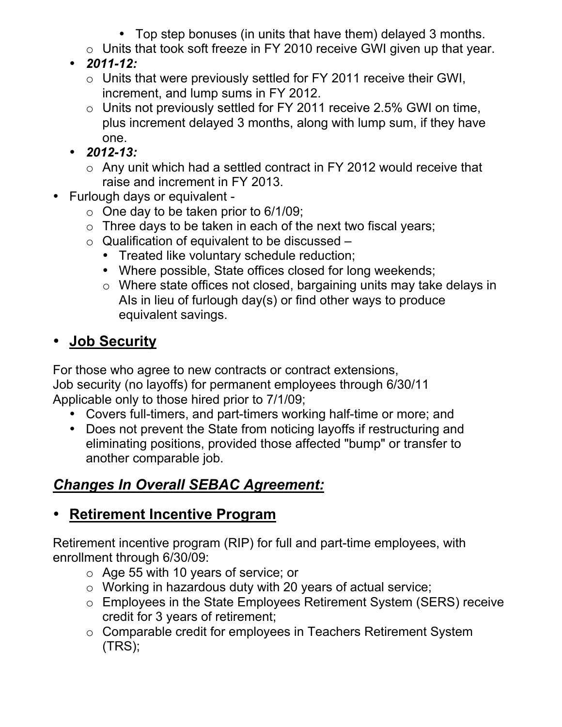- Top step bonuses (in units that have them) delayed 3 months.
- o Units that took soft freeze in FY 2010 receive GWI given up that year.
- *2011-12:*
	- o Units that were previously settled for FY 2011 receive their GWI, increment, and lump sums in FY 2012.
	- $\circ$  Units not previously settled for FY 2011 receive 2.5% GWI on time, plus increment delayed 3 months, along with lump sum, if they have one.
- *2012-13:*
	- o Any unit which had a settled contract in FY 2012 would receive that raise and increment in FY 2013.
- Furlough days or equivalent
	- $\circ$  One day to be taken prior to 6/1/09;
	- $\circ$  Three days to be taken in each of the next two fiscal years;
	- $\circ$  Qualification of equivalent to be discussed
		- Treated like voluntary schedule reduction;
		- Where possible, State offices closed for long weekends;
		- o Where state offices not closed, bargaining units may take delays in AIs in lieu of furlough day(s) or find other ways to produce equivalent savings.

## • **Job Security**

For those who agree to new contracts or contract extensions, Job security (no layoffs) for permanent employees through 6/30/11 Applicable only to those hired prior to 7/1/09;

- Covers full-timers, and part-timers working half-time or more; and
- Does not prevent the State from noticing layoffs if restructuring and eliminating positions, provided those affected "bump" or transfer to another comparable job.

# *Changes In Overall SEBAC Agreement:*

# • **Retirement Incentive Program**

Retirement incentive program (RIP) for full and part-time employees, with enrollment through 6/30/09:

- o Age 55 with 10 years of service; or
- o Working in hazardous duty with 20 years of actual service;
- o Employees in the State Employees Retirement System (SERS) receive credit for 3 years of retirement;
- o Comparable credit for employees in Teachers Retirement System (TRS);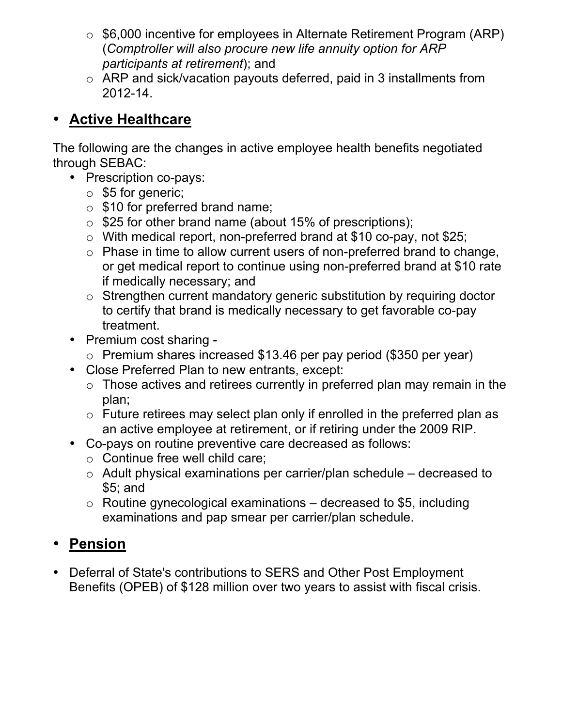- o \$6,000 incentive for employees in Alternate Retirement Program (ARP) (*Comptroller will also procure new life annuity option for ARP participants at retirement*); and
- o ARP and sick/vacation payouts deferred, paid in 3 installments from 2012-14.

#### • **Active Healthcare**

The following are the changes in active employee health benefits negotiated through SEBAC:

- Prescription co-pays:
	- o \$5 for generic;
	- $\circ$  \$10 for preferred brand name;
	- o \$25 for other brand name (about 15% of prescriptions);
	- o With medical report, non-preferred brand at \$10 co-pay, not \$25;
	- $\circ$  Phase in time to allow current users of non-preferred brand to change, or get medical report to continue using non-preferred brand at \$10 rate if medically necessary; and
	- o Strengthen current mandatory generic substitution by requiring doctor to certify that brand is medically necessary to get favorable co-pay treatment.
- Premium cost sharing
	- o Premium shares increased \$13.46 per pay period (\$350 per year)
- Close Preferred Plan to new entrants, except:
	- $\circ$  Those actives and retirees currently in preferred plan may remain in the plan;
	- $\circ$  Future retirees may select plan only if enrolled in the preferred plan as an active employee at retirement, or if retiring under the 2009 RIP.
- Co-pays on routine preventive care decreased as follows:
	- o Continue free well child care;
	- o Adult physical examinations per carrier/plan schedule decreased to \$5; and
	- $\circ$  Routine gynecological examinations decreased to \$5, including examinations and pap smear per carrier/plan schedule.

## • **Pension**

• Deferral of State's contributions to SERS and Other Post Employment Benefits (OPEB) of \$128 million over two years to assist with fiscal crisis.